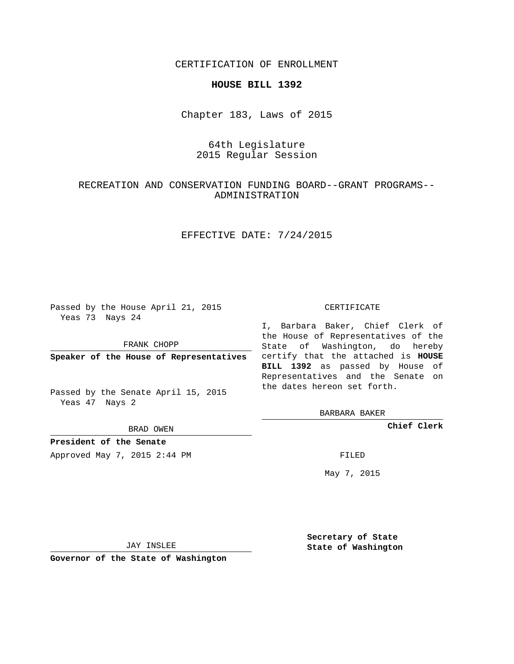CERTIFICATION OF ENROLLMENT

### **HOUSE BILL 1392**

Chapter 183, Laws of 2015

# 64th Legislature 2015 Regular Session

## RECREATION AND CONSERVATION FUNDING BOARD--GRANT PROGRAMS-- ADMINISTRATION

## EFFECTIVE DATE: 7/24/2015

Passed by the House April 21, 2015 Yeas 73 Nays 24

FRANK CHOPP

Passed by the Senate April 15, 2015 Yeas 47 Nays 2

BRAD OWEN

**President of the Senate**

Approved May 7, 2015 2:44 PM FILED

#### CERTIFICATE

**Speaker of the House of Representatives** certify that the attached is **HOUSE** I, Barbara Baker, Chief Clerk of the House of Representatives of the State of Washington, do hereby **BILL 1392** as passed by House of Representatives and the Senate on the dates hereon set forth.

BARBARA BAKER

**Chief Clerk**

May 7, 2015

JAY INSLEE

**Governor of the State of Washington**

**Secretary of State State of Washington**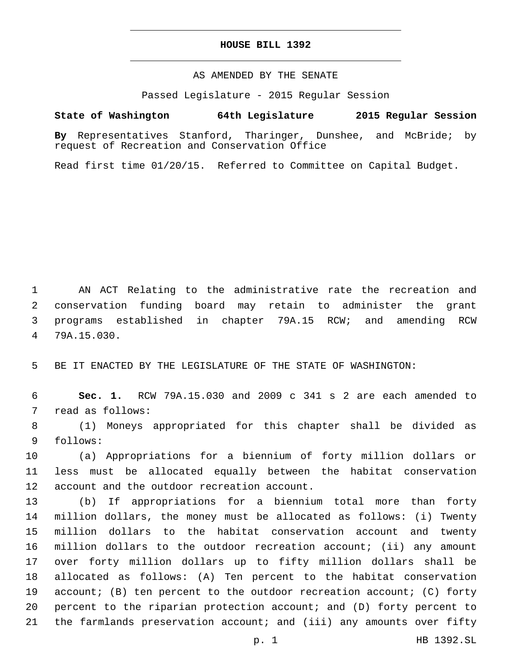### **HOUSE BILL 1392**

## AS AMENDED BY THE SENATE

Passed Legislature - 2015 Regular Session

# **State of Washington 64th Legislature 2015 Regular Session**

**By** Representatives Stanford, Tharinger, Dunshee, and McBride; by request of Recreation and Conservation Office

Read first time 01/20/15. Referred to Committee on Capital Budget.

 AN ACT Relating to the administrative rate the recreation and conservation funding board may retain to administer the grant programs established in chapter 79A.15 RCW; and amending RCW 79A.15.030.4

5 BE IT ENACTED BY THE LEGISLATURE OF THE STATE OF WASHINGTON:

6 **Sec. 1.** RCW 79A.15.030 and 2009 c 341 s 2 are each amended to 7 read as follows:

8 (1) Moneys appropriated for this chapter shall be divided as 9 follows:

10 (a) Appropriations for a biennium of forty million dollars or 11 less must be allocated equally between the habitat conservation 12 account and the outdoor recreation account.

 (b) If appropriations for a biennium total more than forty million dollars, the money must be allocated as follows: (i) Twenty million dollars to the habitat conservation account and twenty million dollars to the outdoor recreation account; (ii) any amount over forty million dollars up to fifty million dollars shall be allocated as follows: (A) Ten percent to the habitat conservation account; (B) ten percent to the outdoor recreation account; (C) forty percent to the riparian protection account; and (D) forty percent to 21 the farmlands preservation account; and (iii) any amounts over fifty

p. 1 HB 1392.SL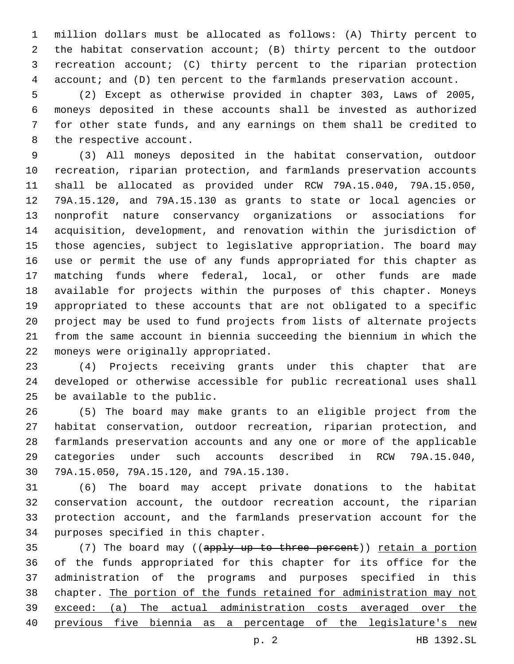million dollars must be allocated as follows: (A) Thirty percent to the habitat conservation account; (B) thirty percent to the outdoor recreation account; (C) thirty percent to the riparian protection 4 account; and (D) ten percent to the farmlands preservation account.

 (2) Except as otherwise provided in chapter 303, Laws of 2005, moneys deposited in these accounts shall be invested as authorized for other state funds, and any earnings on them shall be credited to 8 the respective account.

 (3) All moneys deposited in the habitat conservation, outdoor recreation, riparian protection, and farmlands preservation accounts shall be allocated as provided under RCW 79A.15.040, 79A.15.050, 79A.15.120, and 79A.15.130 as grants to state or local agencies or nonprofit nature conservancy organizations or associations for acquisition, development, and renovation within the jurisdiction of those agencies, subject to legislative appropriation. The board may use or permit the use of any funds appropriated for this chapter as matching funds where federal, local, or other funds are made available for projects within the purposes of this chapter. Moneys appropriated to these accounts that are not obligated to a specific project may be used to fund projects from lists of alternate projects from the same account in biennia succeeding the biennium in which the 22 moneys were originally appropriated.

 (4) Projects receiving grants under this chapter that are developed or otherwise accessible for public recreational uses shall 25 be available to the public.

 (5) The board may make grants to an eligible project from the habitat conservation, outdoor recreation, riparian protection, and farmlands preservation accounts and any one or more of the applicable categories under such accounts described in RCW 79A.15.040, 79A.15.050, 79A.15.120, and 79A.15.130.30

 (6) The board may accept private donations to the habitat conservation account, the outdoor recreation account, the riparian protection account, and the farmlands preservation account for the 34 purposes specified in this chapter.

 $(7)$  The board may ((apply up to three percent)) retain a portion of the funds appropriated for this chapter for its office for the administration of the programs and purposes specified in this chapter. The portion of the funds retained for administration may not exceed: (a) The actual administration costs averaged over the previous five biennia as a percentage of the legislature's new